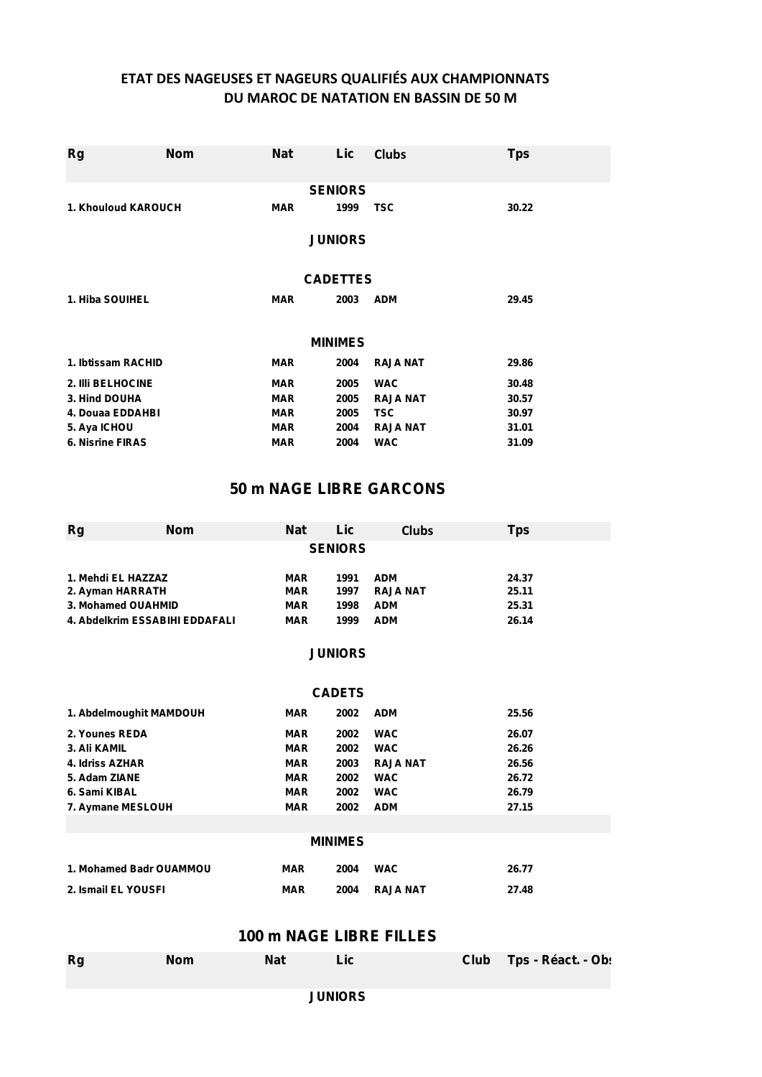## **ETAT DES NAGEUSES ET NAGEURS QUALIFIÉS AUX CHAMPIONNATS DU MAROC DE NATATION EN BASSIN DE 50 M**

| <b>Rg</b>               | <b>Nom</b> | <b>Nat</b> | Lic             | <b>Clubs</b>    | <b>Tps</b> |  |
|-------------------------|------------|------------|-----------------|-----------------|------------|--|
|                         |            |            | <b>SENIORS</b>  |                 |            |  |
| 1. Khouloud KAROUCH     |            | <b>MAR</b> | 1999            | <b>TSC</b>      | 30.22      |  |
| <b>JUNIORS</b>          |            |            |                 |                 |            |  |
|                         |            |            | <b>CADETTES</b> |                 |            |  |
| 1. Hiba SOUIHEL         |            | <b>MAR</b> | 2003            | <b>ADM</b>      | 29.45      |  |
|                         |            |            | <b>MINIMES</b>  |                 |            |  |
| 1. Ibtissam RACHID      |            | <b>MAR</b> | 2004            | <b>RAJA NAT</b> | 29.86      |  |
| 2. IIIi BELHOCINE       |            | <b>MAR</b> | 2005            | <b>WAC</b>      | 30.48      |  |
| 3. Hind DOUHA           |            | <b>MAR</b> | 2005            | <b>RAJA NAT</b> | 30.57      |  |
| 4. Douaa EDDAHBI        |            | <b>MAR</b> | 2005            | <b>TSC</b>      | 30.97      |  |
| 5. Aya ICHOU            |            | <b>MAR</b> | 2004            | <b>RAJA NAT</b> | 31.01      |  |
| <b>6. Nisrine FIRAS</b> |            | <b>MAR</b> | 2004            | <b>WAC</b>      | 31.09      |  |

### **50 m NAGE LIBRE GARCONS**

| Rg                             | Nom | <b>Nat</b> | Lic  |                 | <b>Clubs</b> | Tps   |  |
|--------------------------------|-----|------------|------|-----------------|--------------|-------|--|
| <b>SENIORS</b>                 |     |            |      |                 |              |       |  |
| 1. Mehdi EL HAZZAZ             |     | <b>MAR</b> | 1991 | <b>ADM</b>      |              | 24.37 |  |
| 2. Ayman HARRATH               |     | <b>MAR</b> | 1997 | <b>RAJA NAT</b> |              | 25.11 |  |
| 3. Mohamed OUAHMID             |     | <b>MAR</b> | 1998 | <b>ADM</b>      |              | 25.31 |  |
| 4. Abdelkrim ESSABIHI EDDAFALI |     | <b>MAR</b> | 1999 | <b>ADM</b>      |              | 26.14 |  |

#### **JUNIORS**

| <b>CADETS</b>           |            |      |                 |       |  |  |
|-------------------------|------------|------|-----------------|-------|--|--|
| 1. Abdelmoughit MAMDOUH | <b>MAR</b> | 2002 | <b>ADM</b>      | 25.56 |  |  |
| 2. Younes REDA          | <b>MAR</b> | 2002 | <b>WAC</b>      | 26.07 |  |  |
| 3. Ali KAMIL            | <b>MAR</b> | 2002 | <b>WAC</b>      | 26.26 |  |  |
| 4. Idriss AZHAR         | <b>MAR</b> | 2003 | <b>RAJA NAT</b> | 26.56 |  |  |
| 5. Adam ZIANE           | <b>MAR</b> | 2002 | <b>WAC</b>      | 26.72 |  |  |
| 6. Sami KIBAL           | <b>MAR</b> | 2002 | <b>WAC</b>      | 26.79 |  |  |
| 7. Aymane MESLOUH       | <b>MAR</b> | 2002 | <b>ADM</b>      | 27.15 |  |  |
|                         |            |      |                 |       |  |  |
| <b>MINIMES</b>          |            |      |                 |       |  |  |

|                         |            | <b>MINIMES</b> |               |       |
|-------------------------|------------|----------------|---------------|-------|
| 1. Mohamed Badr OUAMMOU | <b>MAR</b> | 2004           | <b>WAC</b>    | 26.77 |
| 2. Ismail EL YOUSFI     | <b>MAR</b> |                | 2004 RAJA NAT | 27.48 |

## **100 m NAGE LIBRE FILLES**

| <b>Rg</b> | <b>Nom</b> | <b>Nat</b> | Lici      | Club Tps - Réact. - Ob: |  |
|-----------|------------|------------|-----------|-------------------------|--|
|           |            |            | IIINIANDC |                         |  |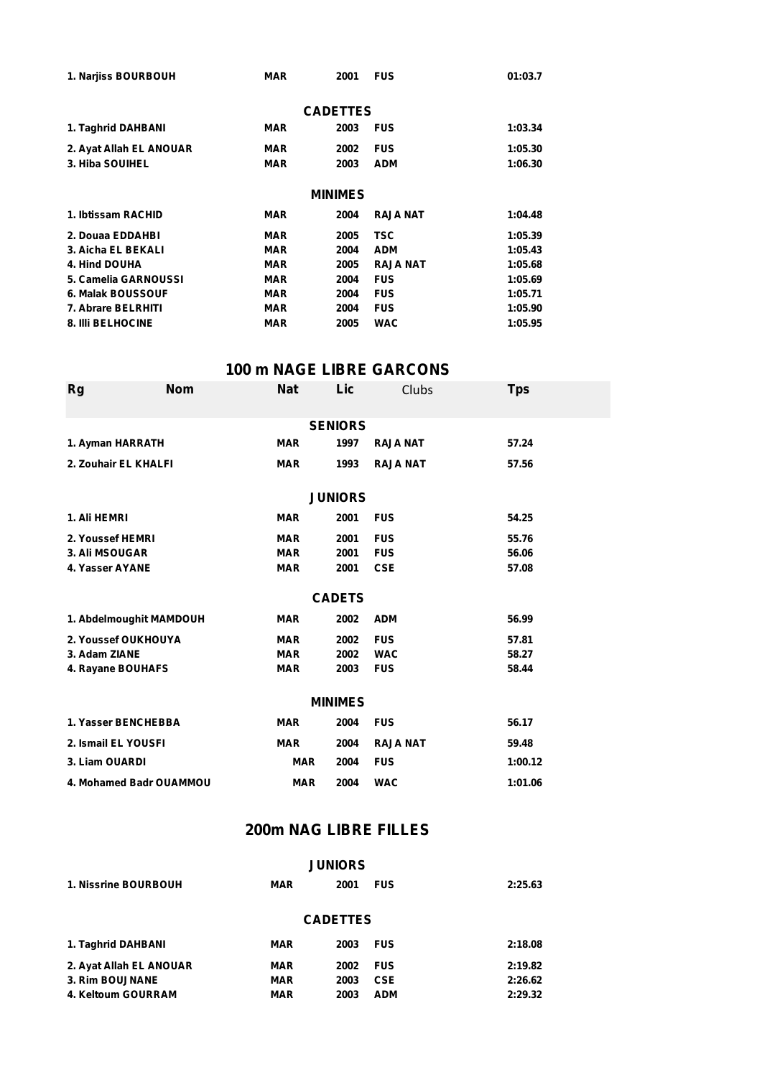| 1. Narjiss BOURBOUH      | <b>MAR</b> | 2001            | <b>FUS</b>      | 01:03.7 |  |  |
|--------------------------|------------|-----------------|-----------------|---------|--|--|
|                          |            | <b>CADETTES</b> |                 |         |  |  |
| 1. Taghrid DAHBANI       | <b>MAR</b> | 2003            | <b>FUS</b>      | 1:03.34 |  |  |
| 2. Ayat Allah EL ANOUAR  | <b>MAR</b> | 2002            | <b>FUS</b>      | 1:05.30 |  |  |
| 3. Hiba SOUIHEL          | <b>MAR</b> | 2003            | <b>ADM</b>      | 1:06.30 |  |  |
| <b>MINIMES</b>           |            |                 |                 |         |  |  |
| 1. Ibtissam RACHID       | <b>MAR</b> | 2004            | <b>RAJA NAT</b> | 1:04.48 |  |  |
| 2. Douaa EDDAHBI         | <b>MAR</b> | 2005            | <b>TSC</b>      | 1:05.39 |  |  |
| 3. Aicha EL BEKALI       | <b>MAR</b> | 2004            | <b>ADM</b>      | 1:05.43 |  |  |
| 4. Hind DOUHA            | <b>MAR</b> | 2005            | <b>RAJA NAT</b> | 1:05.68 |  |  |
| 5. Camelia GARNOUSSI     | <b>MAR</b> | 2004            | <b>FUS</b>      | 1:05.69 |  |  |
| 6. Malak BOUSSOUF        | <b>MAR</b> | 2004            | <b>FUS</b>      | 1:05.71 |  |  |
| 7. Abrare BELRHITI       | <b>MAR</b> | 2004            | <b>FUS</b>      | 1:05.90 |  |  |
| <b>8. IIII BELHOCINE</b> | <b>MAR</b> | 2005            | <b>WAC</b>      | 1:05.95 |  |  |

# **100 m NAGE LIBRE GARCONS**

| <b>Rg</b>               | <b>Nom</b>     | <b>Nat</b> | Lic            | <b>Clubs</b>    | <b>Tps</b> |  |  |  |
|-------------------------|----------------|------------|----------------|-----------------|------------|--|--|--|
|                         | <b>SENIORS</b> |            |                |                 |            |  |  |  |
| 1. Ayman HARRATH        |                | <b>MAR</b> | 1997           | <b>RAJA NAT</b> | 57.24      |  |  |  |
|                         |                |            |                |                 |            |  |  |  |
| 2. Zouhair EL KHALFI    |                | <b>MAR</b> | 1993           | <b>RAJA NAT</b> | 57.56      |  |  |  |
|                         |                |            |                |                 |            |  |  |  |
|                         |                |            | <b>JUNIORS</b> |                 |            |  |  |  |
| 1. Ali HEMRI            |                | <b>MAR</b> | 2001           | <b>FUS</b>      | 54.25      |  |  |  |
| 2. Youssef HEMRI        |                | <b>MAR</b> | 2001           | <b>FUS</b>      | 55.76      |  |  |  |
| 3. Ali MSOUGAR          |                | <b>MAR</b> | 2001           | <b>FUS</b>      | 56.06      |  |  |  |
| 4. Yasser AYANE         |                | <b>MAR</b> | 2001           | <b>CSE</b>      | 57.08      |  |  |  |
|                         |                |            |                |                 |            |  |  |  |
|                         |                |            | <b>CADETS</b>  |                 |            |  |  |  |
| 1. Abdelmoughit MAMDOUH |                | <b>MAR</b> | 2002           | <b>ADM</b>      | 56.99      |  |  |  |
| 2. Youssef OUKHOUYA     |                | <b>MAR</b> | 2002           | <b>FUS</b>      | 57.81      |  |  |  |
| 3. Adam ZIANE           |                | <b>MAR</b> | 2002           | <b>WAC</b>      | 58.27      |  |  |  |
| 4. Rayane BOUHAFS       |                | <b>MAR</b> | 2003           | <b>FUS</b>      | 58.44      |  |  |  |
|                         |                |            |                |                 |            |  |  |  |
| <b>MINIMES</b>          |                |            |                |                 |            |  |  |  |
| 1. Yasser BENCHEBBA     |                | <b>MAR</b> | 2004           | <b>FUS</b>      | 56.17      |  |  |  |
| 2. Ismail EL YOUSFI     |                | <b>MAR</b> | 2004           | <b>RAJA NAT</b> | 59.48      |  |  |  |
| 3. Liam OUARDI          |                | <b>MAR</b> | 2004           | <b>FUS</b>      | 1:00.12    |  |  |  |
| 4. Mohamed Badr OUAMMOU |                | <b>MAR</b> | 2004           | <b>WAC</b>      | 1:01.06    |  |  |  |

# **200m NAG LIBRE FILLES**

| <b>JUNIORS</b>          |            |      |            |         |  |  |  |
|-------------------------|------------|------|------------|---------|--|--|--|
| 1. Nissrine BOURBOUH    | <b>MAR</b> | 2001 | <b>FUS</b> | 2:25.63 |  |  |  |
| <b>CADETTES</b>         |            |      |            |         |  |  |  |
| 1. Taghrid DAHBANI      | <b>MAR</b> | 2003 | <b>FUS</b> | 2:18.08 |  |  |  |
| 2. Ayat Allah EL ANOUAR | <b>MAR</b> | 2002 | <b>FUS</b> | 2:19.82 |  |  |  |
| 3. Rim BOUJNANE         | <b>MAR</b> | 2003 | <b>CSE</b> | 2:26.62 |  |  |  |
| 4. Keltoum GOURRAM      | <b>MAR</b> | 2003 | <b>ADM</b> | 2:29.32 |  |  |  |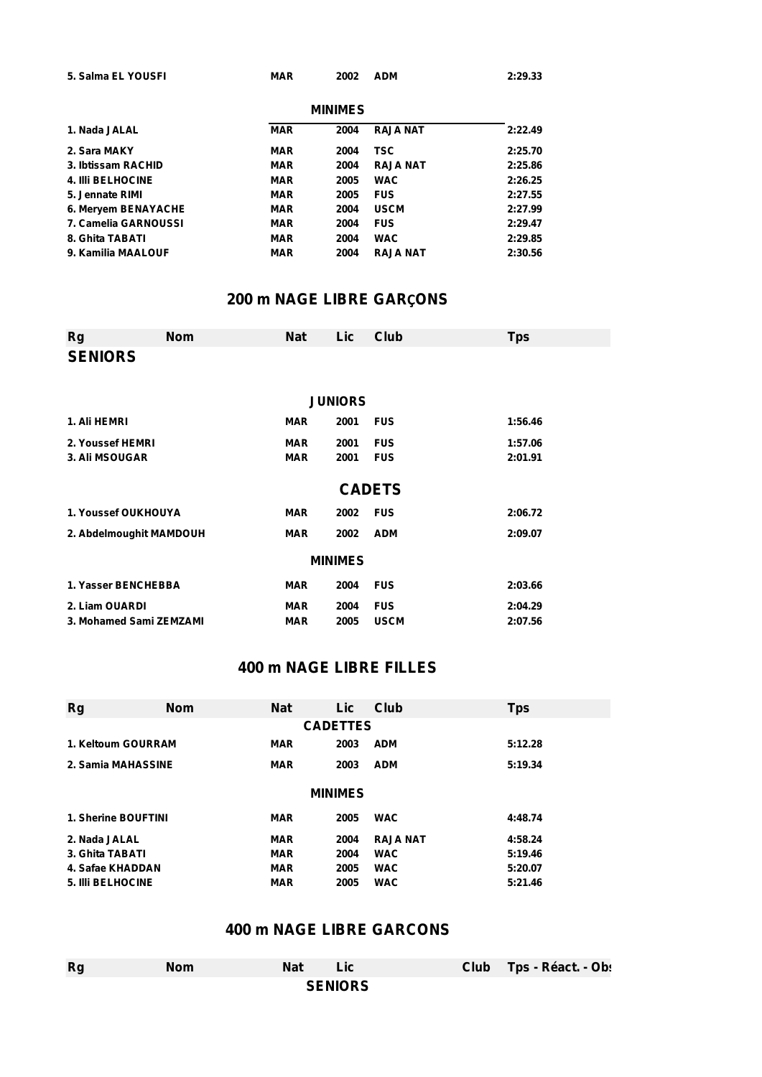| 5. Salma EL YOUSFI | <b>MAR</b> | 2002 ADM       | 2:29.33 |
|--------------------|------------|----------------|---------|
|                    |            | <b>MINIMES</b> |         |

| 1. Nada JALAL            | <b>MAR</b> | 2004 | <b>RAJA NAT</b> | 2:22.49 |
|--------------------------|------------|------|-----------------|---------|
| 2. Sara MAKY             | <b>MAR</b> | 2004 | TSC.            | 2:25.70 |
| 3. Ibtissam RACHID       | <b>MAR</b> | 2004 | <b>RAJA NAT</b> | 2:25.86 |
| <b>4. IIII BELHOCINE</b> | <b>MAR</b> | 2005 | <b>WAC</b>      | 2:26.25 |
| 5. Jennate RIMI          | <b>MAR</b> | 2005 | <b>FUS</b>      | 2:27.55 |
| 6. Mervem BENAYACHE      | <b>MAR</b> | 2004 | <b>USCM</b>     | 2:27.99 |
| 7. Camelia GARNOUSSI     | <b>MAR</b> | 2004 | <b>FUS</b>      | 2:29.47 |
| 8. Ghita TABATI          | <b>MAR</b> | 2004 | <b>WAC</b>      | 2:29.85 |
| 9. Kamilia MAALOUF       | <b>MAR</b> | 2004 | <b>RAJA NAT</b> | 2:30.56 |

### **200 m NAGE LIBRE GARÇONS**

| <b>Rg</b>               | <b>Nom</b> | <b>Nat</b> | Lic            | Club          | <b>Tps</b> |
|-------------------------|------------|------------|----------------|---------------|------------|
| <b>SENIORS</b>          |            |            |                |               |            |
|                         |            |            |                |               |            |
|                         |            |            | <b>JUNIORS</b> |               |            |
| 1. Ali HEMRI            |            | <b>MAR</b> | 2001           | <b>FUS</b>    | 1:56.46    |
| 2. Youssef HEMRI        |            | <b>MAR</b> | 2001           | <b>FUS</b>    | 1:57.06    |
| 3. Ali MSOUGAR          |            | <b>MAR</b> | 2001           | <b>FUS</b>    | 2:01.91    |
|                         |            |            |                | <b>CADETS</b> |            |
| 1. Youssef OUKHOUYA     |            | <b>MAR</b> | 2002           | <b>FUS</b>    | 2:06.72    |
| 2. Abdelmoughit MAMDOUH |            | <b>MAR</b> | 2002           | <b>ADM</b>    | 2:09.07    |
|                         |            |            | <b>MINIMES</b> |               |            |
| 1. Yasser BENCHEBBA     |            | <b>MAR</b> | 2004           | <b>FUS</b>    | 2:03.66    |
| 2. Liam OUARDI          |            | <b>MAR</b> | 2004           | <b>FUS</b>    | 2:04.29    |
| 3. Mohamed Sami ZEMZAMI |            | <b>MAR</b> | 2005           | <b>USCM</b>   | 2:07.56    |

# **400 m NAGE LIBRE FILLES**

| <b>CADETTES</b> |  |  |  |  |  |  |  |  |  |
|-----------------|--|--|--|--|--|--|--|--|--|
|                 |  |  |  |  |  |  |  |  |  |
|                 |  |  |  |  |  |  |  |  |  |
|                 |  |  |  |  |  |  |  |  |  |
|                 |  |  |  |  |  |  |  |  |  |
|                 |  |  |  |  |  |  |  |  |  |
|                 |  |  |  |  |  |  |  |  |  |
|                 |  |  |  |  |  |  |  |  |  |
|                 |  |  |  |  |  |  |  |  |  |
|                 |  |  |  |  |  |  |  |  |  |

# **400 m NAGE LIBRE GARCONS**

| <b>Rg</b> | <b>Nom</b> | <b>Nat</b>     | Lic | Club Tps - Réact. - Ob: |
|-----------|------------|----------------|-----|-------------------------|
|           |            | <b>SENIORS</b> |     |                         |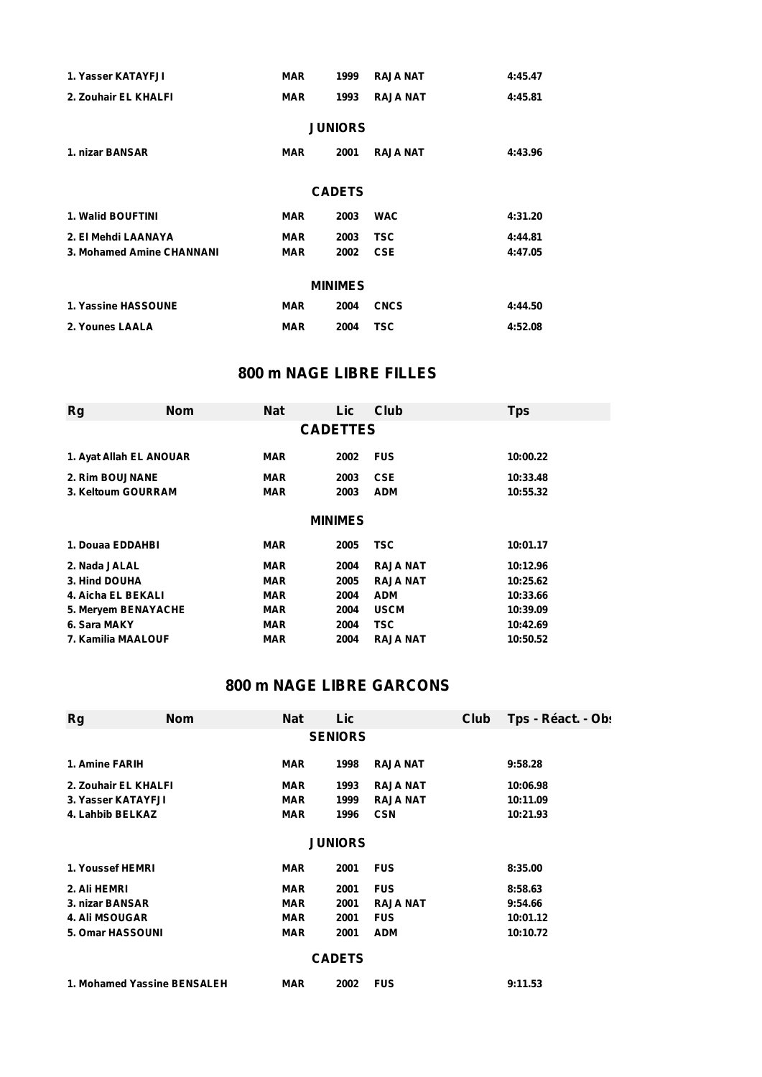| 1. Yasser KATAYFJI        | <b>MAR</b>     | 1999 | <b>RAJA NAT</b> | 4:45.47 |  |  |  |  |  |  |
|---------------------------|----------------|------|-----------------|---------|--|--|--|--|--|--|
| 2. Zouhair EL KHALFI      | <b>MAR</b>     | 1993 | <b>RAJA NAT</b> | 4:45.81 |  |  |  |  |  |  |
|                           | <b>JUNIORS</b> |      |                 |         |  |  |  |  |  |  |
| 1. nizar BANSAR           | <b>MAR</b>     | 2001 | <b>RAJA NAT</b> | 4:43.96 |  |  |  |  |  |  |
|                           | <b>CADETS</b>  |      |                 |         |  |  |  |  |  |  |
| <b>1. Walid BOUFTINI</b>  | <b>MAR</b>     | 2003 | <b>WAC</b>      | 4:31.20 |  |  |  |  |  |  |
| 2. El Mehdi LAANAYA       | <b>MAR</b>     | 2003 | <b>TSC</b>      | 4:44.81 |  |  |  |  |  |  |
| 3. Mohamed Amine CHANNANI | <b>MAR</b>     | 2002 | <b>CSE</b>      | 4:47.05 |  |  |  |  |  |  |
| <b>MINIMES</b>            |                |      |                 |         |  |  |  |  |  |  |
| 1. Yassine HASSOUNE       | <b>MAR</b>     | 2004 | <b>CNCS</b>     | 4:44.50 |  |  |  |  |  |  |
| 2. Younes LAALA           | <b>MAR</b>     | 2004 | <b>TSC</b>      | 4:52.08 |  |  |  |  |  |  |

## **800 m NAGE LIBRE FILLES**

| <b>Rg</b>               | <b>Nom</b>      | <b>Nat</b> | Lic            | Club            | <b>Tps</b> |  |  |  |  |  |
|-------------------------|-----------------|------------|----------------|-----------------|------------|--|--|--|--|--|
|                         | <b>CADETTES</b> |            |                |                 |            |  |  |  |  |  |
|                         |                 |            |                |                 |            |  |  |  |  |  |
| 1. Ayat Allah EL ANOUAR |                 | <b>MAR</b> | 2002           | <b>FUS</b>      | 10:00.22   |  |  |  |  |  |
| 2. Rim BOUJNANE         |                 | <b>MAR</b> | 2003           | <b>CSE</b>      | 10:33.48   |  |  |  |  |  |
| 3. Keltoum GOURRAM      |                 | <b>MAR</b> | 2003           | <b>ADM</b>      | 10:55.32   |  |  |  |  |  |
|                         |                 |            |                |                 |            |  |  |  |  |  |
|                         |                 |            | <b>MINIMES</b> |                 |            |  |  |  |  |  |
| 1. Douaa EDDAHBI        |                 | <b>MAR</b> | 2005           | TSC.            | 10:01.17   |  |  |  |  |  |
| 2. Nada JALAL           |                 | <b>MAR</b> | 2004           | <b>RAJA NAT</b> | 10:12.96   |  |  |  |  |  |
| 3. Hind DOUHA           |                 | <b>MAR</b> | 2005           | <b>RAJA NAT</b> | 10:25.62   |  |  |  |  |  |
| 4. Aicha EL BEKALI      |                 | <b>MAR</b> | 2004           | <b>ADM</b>      | 10:33.66   |  |  |  |  |  |
| 5. Meryem BENAYACHE     |                 | <b>MAR</b> | 2004           | <b>USCM</b>     | 10:39.09   |  |  |  |  |  |
| 6. Sara MAKY            |                 | <b>MAR</b> | 2004           | TSC.            | 10:42.69   |  |  |  |  |  |
| 7. Kamilia MAALOUF      |                 | <b>MAR</b> | 2004           | <b>RAJA NAT</b> | 10:50.52   |  |  |  |  |  |

# **800 m NAGE LIBRE GARCONS**

| Rg                                                                 | <b>Nom</b>                                                                 | <b>Nat</b> | Lic            |                 | Club | Tps - Réact. - Ob: |  |  |  |
|--------------------------------------------------------------------|----------------------------------------------------------------------------|------------|----------------|-----------------|------|--------------------|--|--|--|
|                                                                    | <b>SENIORS</b>                                                             |            |                |                 |      |                    |  |  |  |
| 1. Amine FARIH<br><b>RAJA NAT</b><br><b>MAR</b><br>1998<br>9:58.28 |                                                                            |            |                |                 |      |                    |  |  |  |
| 2. Zouhair EL KHALFI                                               |                                                                            | <b>MAR</b> | 1993           | <b>RAJA NAT</b> |      | 10:06.98           |  |  |  |
| 3. Yasser KATAYFJI                                                 |                                                                            | <b>MAR</b> | 1999           | <b>RAJA NAT</b> |      | 10:11.09           |  |  |  |
| 4. Lahbib BELKAZ                                                   |                                                                            | <b>MAR</b> | 1996           | <b>CSN</b>      |      | 10:21.93           |  |  |  |
|                                                                    |                                                                            |            | <b>JUNIORS</b> |                 |      |                    |  |  |  |
|                                                                    |                                                                            |            |                |                 |      |                    |  |  |  |
| 1. Youssef HEMRI                                                   |                                                                            | <b>MAR</b> | 2001           | <b>FUS</b>      |      | 8:35.00            |  |  |  |
| 2. Ali HEMRI                                                       |                                                                            | <b>MAR</b> | 2001           | <b>FUS</b>      |      | 8:58.63            |  |  |  |
| 3. nizar BANSAR                                                    |                                                                            | <b>MAR</b> | 2001           | <b>RAJA NAT</b> |      | 9:54.66            |  |  |  |
| <b>4. Ali MSOUGAR</b>                                              |                                                                            | <b>MAR</b> | 2001           | <b>FUS</b>      |      | 10:01.12           |  |  |  |
| <b>5. Omar HASSOUNI</b>                                            |                                                                            | <b>MAR</b> | 2001           | <b>ADM</b>      |      | 10:10.72           |  |  |  |
| <b>CADETS</b>                                                      |                                                                            |            |                |                 |      |                    |  |  |  |
|                                                                    | 1. Mohamed Yassine BENSALEH<br><b>FUS</b><br><b>MAR</b><br>9:11.53<br>2002 |            |                |                 |      |                    |  |  |  |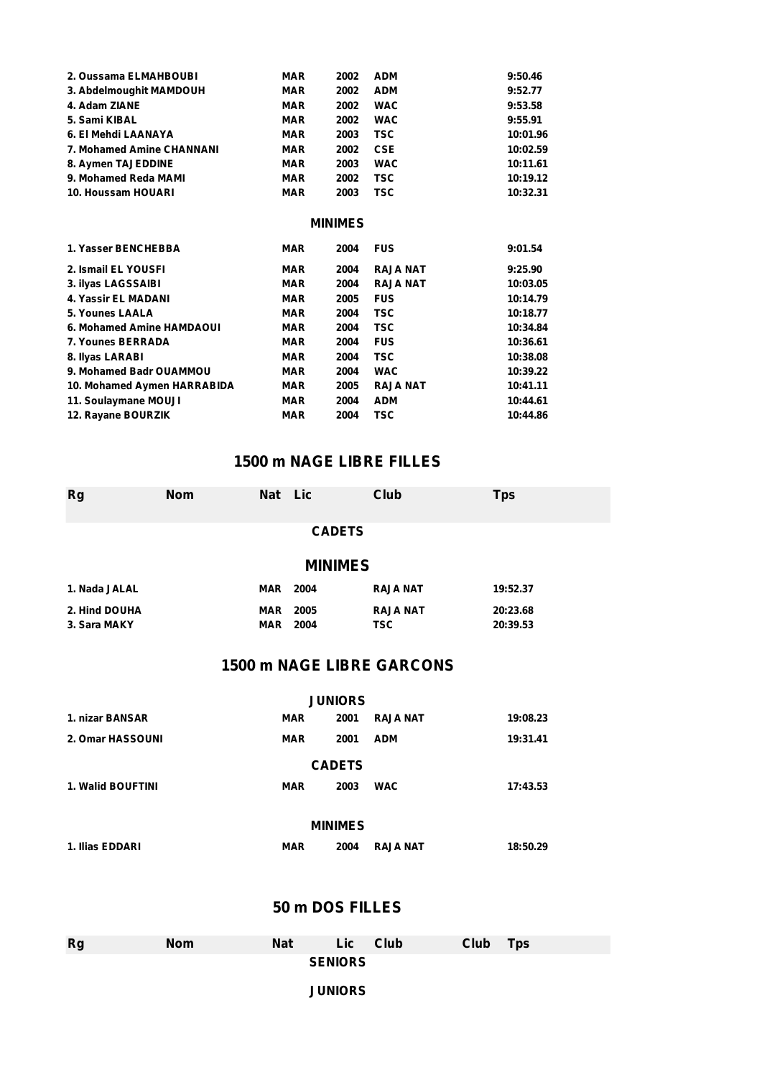| 2. Oussama ELMAHBOUBI       | <b>MAR</b>     | 2002 | <b>ADM</b>      | 9:50.46  |  |  |  |  |  |  |
|-----------------------------|----------------|------|-----------------|----------|--|--|--|--|--|--|
| 3. Abdelmoughit MAMDOUH     | <b>MAR</b>     | 2002 | <b>ADM</b>      | 9:52.77  |  |  |  |  |  |  |
| 4. Adam ZIANE               | <b>MAR</b>     | 2002 | <b>WAC</b>      | 9:53.58  |  |  |  |  |  |  |
| 5. Sami KIBAL               | <b>MAR</b>     | 2002 | <b>WAC</b>      | 9:55.91  |  |  |  |  |  |  |
| 6. El Mehdi LAANAYA         | <b>MAR</b>     | 2003 | <b>TSC</b>      | 10:01.96 |  |  |  |  |  |  |
| 7. Mohamed Amine CHANNANI   | <b>MAR</b>     | 2002 | <b>CSE</b>      | 10:02.59 |  |  |  |  |  |  |
| 8. Aymen TAJEDDINE          | <b>MAR</b>     | 2003 | <b>WAC</b>      | 10:11.61 |  |  |  |  |  |  |
| 9. Mohamed Reda MAMI        | <b>MAR</b>     | 2002 | <b>TSC</b>      | 10:19.12 |  |  |  |  |  |  |
| 10. Houssam HOUARI          | <b>MAR</b>     | 2003 | TSC             | 10:32.31 |  |  |  |  |  |  |
|                             | <b>MINIMES</b> |      |                 |          |  |  |  |  |  |  |
| 1. Yasser BENCHEBBA         | <b>MAR</b>     | 2004 | <b>FUS</b>      | 9:01.54  |  |  |  |  |  |  |
| 2. Ismail EL YOUSFI         | <b>MAR</b>     | 2004 | <b>RAJA NAT</b> | 9:25.90  |  |  |  |  |  |  |
| 3. ilyas LAGSSAIBI          | <b>MAR</b>     | 2004 | <b>RAJA NAT</b> | 10:03.05 |  |  |  |  |  |  |
| 4. Yassir EL MADANI         | <b>MAR</b>     | 2005 | <b>FUS</b>      | 10:14.79 |  |  |  |  |  |  |
| 5. Younes LAALA             | <b>MAR</b>     | 2004 | <b>TSC</b>      | 10:18.77 |  |  |  |  |  |  |
| 6. Mohamed Amine HAMDAOUI   | <b>MAR</b>     | 2004 | <b>TSC</b>      | 10:34.84 |  |  |  |  |  |  |
| 7. Younes BERRADA           | <b>MAR</b>     | 2004 | <b>FUS</b>      | 10:36.61 |  |  |  |  |  |  |
| 8. Ilyas LARABI             | <b>MAR</b>     | 2004 | <b>TSC</b>      | 10:38.08 |  |  |  |  |  |  |
| 9. Mohamed Badr OUAMMOU     | <b>MAR</b>     | 2004 | <b>WAC</b>      | 10:39.22 |  |  |  |  |  |  |
| 10. Mohamed Aymen HARRABIDA | <b>MAR</b>     | 2005 | <b>RAJA NAT</b> | 10:41.11 |  |  |  |  |  |  |
| 11. Soulaymane MOUJI        | <b>MAR</b>     | 2004 | <b>ADM</b>      | 10:44.61 |  |  |  |  |  |  |
| 12. Rayane BOURZIK          | <b>MAR</b>     | 2004 | <b>TSC</b>      | 10:44.86 |  |  |  |  |  |  |

# **1500 m NAGE LIBRE FILLES**

| <b>Rg</b>                                          | <b>Nom</b>    | <b>Nat</b> | Lic                |  | Club            | <b>Tps</b> |  |  |  |
|----------------------------------------------------|---------------|------------|--------------------|--|-----------------|------------|--|--|--|
|                                                    |               |            | <b>CADETS</b>      |  |                 |            |  |  |  |
|                                                    |               |            | <b>MINIMES</b>     |  |                 |            |  |  |  |
| 1. Nada JALAL                                      |               | <b>MAR</b> | 2004               |  | <b>RAJA NAT</b> | 19:52.37   |  |  |  |
| 2. Hind DOUHA                                      |               | <b>MAR</b> | 2005               |  | <b>RAJA NAT</b> | 20:23.68   |  |  |  |
| 3. Sara MAKY                                       |               | <b>MAR</b> | 2004               |  | <b>TSC</b>      | 20:39.53   |  |  |  |
| <b>1500 m NAGE LIBRE GARCONS</b><br><b>JUNIORS</b> |               |            |                    |  |                 |            |  |  |  |
| 1. nizar BANSAR                                    |               |            | <b>MAR</b><br>2001 |  | <b>RAJA NAT</b> | 19:08.23   |  |  |  |
| 2. Omar HASSOUNI                                   |               |            | <b>MAR</b><br>2001 |  | <b>ADM</b>      | 19:31.41   |  |  |  |
|                                                    | <b>CADETS</b> |            |                    |  |                 |            |  |  |  |
| <b>1. Walid BOUFTINI</b>                           |               |            | <b>MAR</b><br>2003 |  | <b>WAC</b>      | 17:43.53   |  |  |  |
|                                                    |               |            |                    |  |                 |            |  |  |  |
| <b>MINIMES</b>                                     |               |            |                    |  |                 |            |  |  |  |
| 1. Ilias EDDARI                                    |               |            | <b>MAR</b><br>2004 |  | <b>RAJA NAT</b> | 18:50.29   |  |  |  |
|                                                    |               |            |                    |  |                 |            |  |  |  |

# **50 m DOS FILLES**

| <b>Rg</b>      | <b>Nom</b> | <b>Nat</b> | Lic | Club | Club | <b>Tps</b> |  |  |  |  |
|----------------|------------|------------|-----|------|------|------------|--|--|--|--|
| <b>SENIORS</b> |            |            |     |      |      |            |  |  |  |  |
| <b>JUNIORS</b> |            |            |     |      |      |            |  |  |  |  |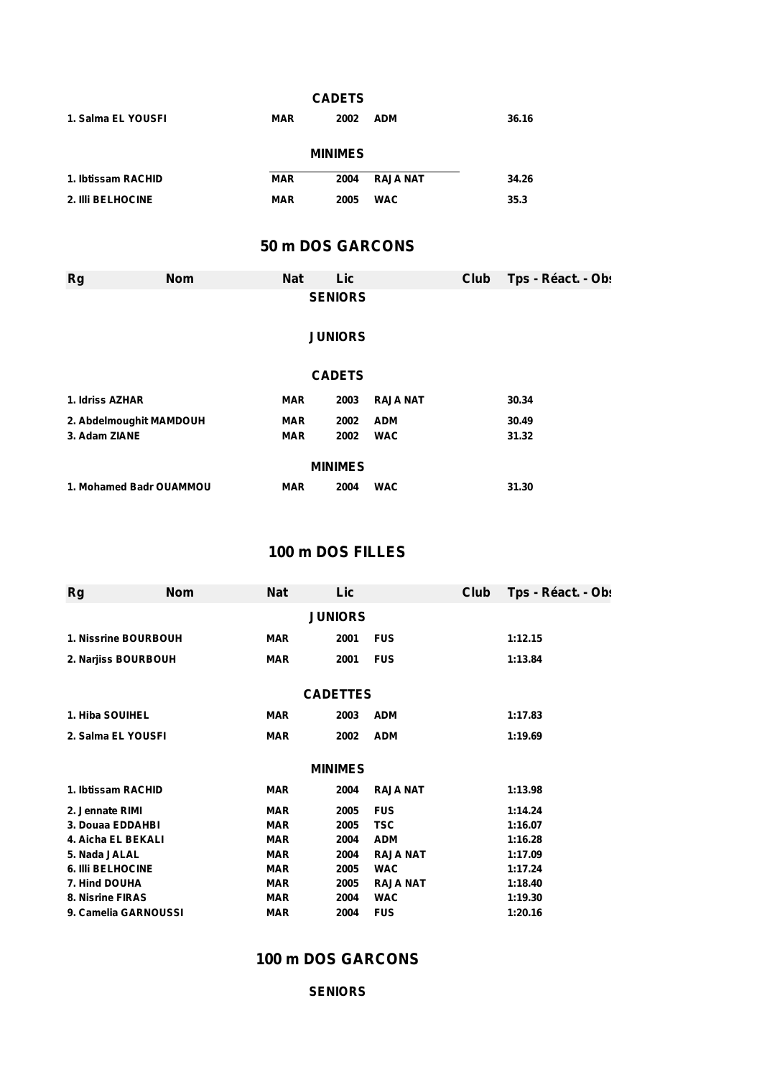| <b>CADETS</b>      |                  |            |                |                 |      |                    |  |  |  |  |
|--------------------|------------------|------------|----------------|-----------------|------|--------------------|--|--|--|--|
| 1. Salma EL YOUSFI |                  | <b>MAR</b> | 2002           | <b>ADM</b>      |      | 36.16              |  |  |  |  |
|                    |                  |            | <b>MINIMES</b> |                 |      |                    |  |  |  |  |
| 1. Ibtissam RACHID |                  | <b>MAR</b> | 2004           | <b>RAJA NAT</b> |      | 34.26              |  |  |  |  |
| 2. IIIi BELHOCINE  |                  | <b>MAR</b> | 2005           | <b>WAC</b>      |      | 35.3               |  |  |  |  |
|                    | 50 m DOS GARCONS |            |                |                 |      |                    |  |  |  |  |
| <b>Rg</b>          | <b>Nom</b>       | <b>Nat</b> | Lic            |                 | Club | Tps - Réact. - Ob: |  |  |  |  |
| <b>SENIORS</b>     |                  |            |                |                 |      |                    |  |  |  |  |
|                    |                  |            | <b>JUNIORS</b> |                 |      |                    |  |  |  |  |
|                    |                  |            | <b>CADETS</b>  |                 |      |                    |  |  |  |  |

| 1. Idriss AZHAR         | MAR        | 2003 | <b>RAJA NAT</b> | 30.34 |  |  |  |  |  |
|-------------------------|------------|------|-----------------|-------|--|--|--|--|--|
| 2. Abdelmoughit MAMDOUH | <b>MAR</b> | 2002 | <b>ADM</b>      | 30.49 |  |  |  |  |  |
| 3. Adam ZIANE           | <b>MAR</b> | 2002 | <b>WAC</b>      | 31.32 |  |  |  |  |  |
| <b>MINIMES</b>          |            |      |                 |       |  |  |  |  |  |
| 1. Mohamed Badr OUAMMOU | <b>MAR</b> | 2004 | <b>WAC</b>      | 31.30 |  |  |  |  |  |

# **100 m DOS FILLES**

| <b>Rg</b>                | <b>Nom</b>     | <b>Nat</b> | Lic             |                 | Club | Tps - Réact. - Obs |  |  |  |
|--------------------------|----------------|------------|-----------------|-----------------|------|--------------------|--|--|--|
|                          | <b>JUNIORS</b> |            |                 |                 |      |                    |  |  |  |
| 1. Nissrine BOURBOUH     |                | <b>MAR</b> | 2001            | <b>FUS</b>      |      | 1:12.15            |  |  |  |
| 2. Narjiss BOURBOUH      |                | <b>MAR</b> | 2001            | <b>FUS</b>      |      | 1:13.84            |  |  |  |
|                          |                |            |                 |                 |      |                    |  |  |  |
|                          |                |            | <b>CADETTES</b> |                 |      |                    |  |  |  |
| 1. Hiba SOUIHEL          |                | <b>MAR</b> | 2003            | <b>ADM</b>      |      | 1:17.83            |  |  |  |
| 2. Salma EL YOUSFI       |                | <b>MAR</b> | 2002            | <b>ADM</b>      |      | 1:19.69            |  |  |  |
|                          |                |            | <b>MINIMES</b>  |                 |      |                    |  |  |  |
| 1. Ibtissam RACHID       |                | <b>MAR</b> | 2004            | <b>RAJA NAT</b> |      | 1:13.98            |  |  |  |
| 2. Jennate RIMI          |                | <b>MAR</b> | 2005            | <b>FUS</b>      |      | 1:14.24            |  |  |  |
| 3. Douaa EDDAHBI         |                | <b>MAR</b> | 2005            | <b>TSC</b>      |      | 1:16.07            |  |  |  |
| 4. Aicha EL BEKALI       |                | <b>MAR</b> | 2004            | <b>ADM</b>      |      | 1:16.28            |  |  |  |
| 5. Nada JALAL            |                | <b>MAR</b> | 2004            | <b>RAJA NAT</b> |      | 1:17.09            |  |  |  |
| <b>6. IIII BELHOCINE</b> |                | <b>MAR</b> | 2005            | <b>WAC</b>      |      | 1:17.24            |  |  |  |
| 7. Hind DOUHA            |                | <b>MAR</b> | 2005            | <b>RAJA NAT</b> |      | 1:18.40            |  |  |  |
| 8. Nisrine FIRAS         |                | <b>MAR</b> | 2004            | <b>WAC</b>      |      | 1:19.30            |  |  |  |
| 9. Camelia GARNOUSSI     |                | <b>MAR</b> | 2004            | <b>FUS</b>      |      | 1:20.16            |  |  |  |

## **100 m DOS GARCONS**

#### **SENIORS**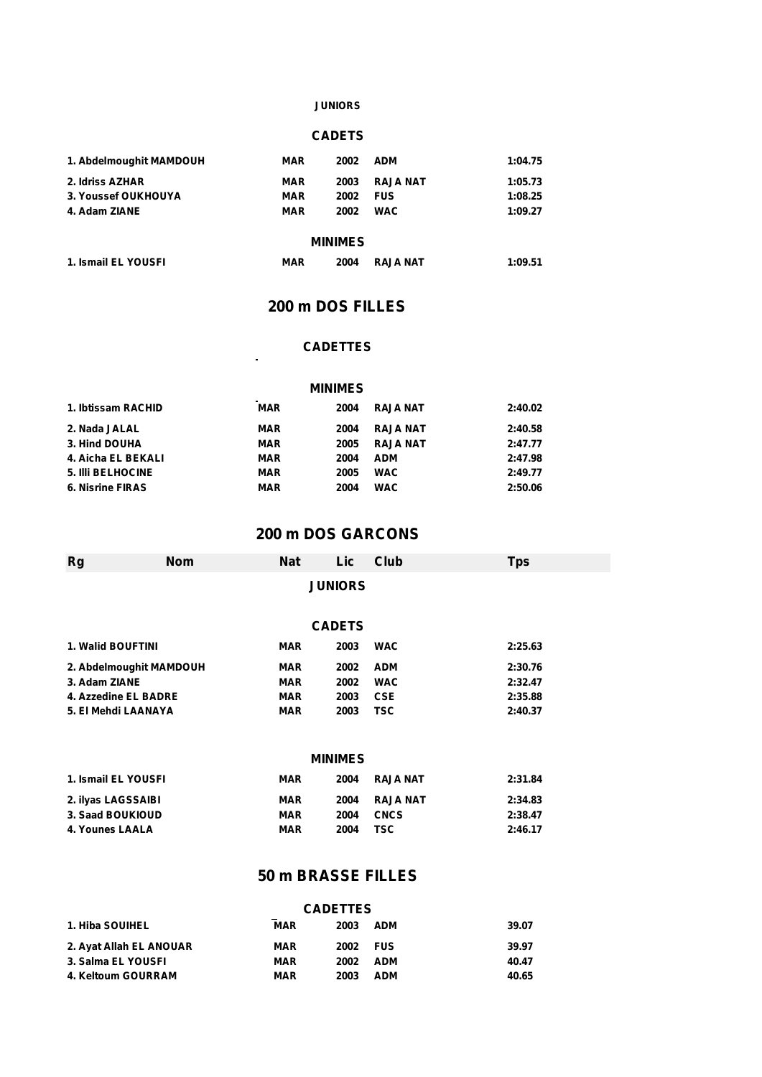#### **JUNIORS**

#### **CADETS**

| 1. Abdelmoughit MAMDOUH | <b>MAR</b> | 2002 | <b>ADM</b>      | 1:04.75 |
|-------------------------|------------|------|-----------------|---------|
| 2. Idriss AZHAR         | MAR        | 2003 | <b>RAJA NAT</b> | 1:05.73 |
| 3. Youssef OUKHOUYA     | MAR        | 2002 | <b>FUS</b>      | 1:08.25 |
| 4. Adam ZIANE           | MAR        | 2002 | <b>WAC</b>      | 1:09.27 |
|                         |            |      |                 |         |

#### **MINIMES**

| 1. Ismail EL YOUSFI | MAR | 2004 | <b>RAJA NAT</b> | 1:09.51 |
|---------------------|-----|------|-----------------|---------|
|                     |     |      |                 |         |

 $\ddot{\phantom{a}}$ 

### **200 m DOS FILLES**

#### **CADETTES**

#### **MINIMES**

| 1. Ibtissam RACHID       | <b>MAR</b> | 2004 | <b>RAJA NAT</b> | 2:40.02 |
|--------------------------|------------|------|-----------------|---------|
| 2. Nada JALAL            | <b>MAR</b> | 2004 | <b>RAJA NAT</b> | 2:40.58 |
| 3. Hind DOUHA            | <b>MAR</b> | 2005 | <b>RAJA NAT</b> | 2:47.77 |
| 4. Aicha EL BEKALI       | MAR        | 2004 | <b>ADM</b>      | 2:47.98 |
| <b>5. IIII BELHOCINE</b> | <b>MAR</b> | 2005 | <b>WAC</b>      | 2:49.77 |
| <b>6. Nisrine FIRAS</b>  | <b>MAR</b> | 2004 | <b>WAC</b>      | 2:50.06 |

#### **200 m DOS GARCONS**

| <b>Rg</b>                | <b>Nom</b>              | <b>Nat</b> | Lic            | Club            | <b>Tps</b> |  |
|--------------------------|-------------------------|------------|----------------|-----------------|------------|--|
|                          |                         |            | <b>JUNIORS</b> |                 |            |  |
|                          |                         |            |                |                 |            |  |
|                          |                         |            | <b>CADETS</b>  |                 |            |  |
| <b>1. Walid BOUFTINI</b> |                         | <b>MAR</b> | 2003           | <b>WAC</b>      | 2:25.63    |  |
|                          | 2. Abdelmoughit MAMDOUH | <b>MAR</b> | 2002           | <b>ADM</b>      | 2:30.76    |  |
| 3. Adam ZIANE            |                         | <b>MAR</b> | 2002           | <b>WAC</b>      | 2:32.47    |  |
| 4. Azzedine EL BADRE     |                         | <b>MAR</b> | 2003           | <b>CSE</b>      | 2:35.88    |  |
| 5. El Mehdi LAANAYA      |                         | <b>MAR</b> | 2003           | <b>TSC</b>      | 2:40.37    |  |
|                          |                         |            |                |                 |            |  |
|                          |                         |            | <b>MINIMES</b> |                 |            |  |
| 1. Ismail EL YOUSFI      |                         | <b>MAR</b> | 2004           | <b>RAJA NAT</b> | 2:31.84    |  |
| 2. ilyas LAGSSAIBI       |                         | <b>MAR</b> | 2004           | <b>RAJA NAT</b> | 2:34.83    |  |
| 3. Saad BOUKIOUD         |                         | <b>MAR</b> | 2004           | <b>CNCS</b>     | 2:38.47    |  |
| 4. Younes LAALA          |                         | <b>MAR</b> | 2004           | <b>TSC</b>      | 2:46.17    |  |

## **50 m BRASSE FILLES**

| <b>CADETTES</b>         |                      |          |            |       |  |  |
|-------------------------|----------------------|----------|------------|-------|--|--|
| 1. Hiba SOUIHEL         | $\sim$<br><b>MAR</b> | 2003     | <b>ADM</b> | 39.07 |  |  |
| 2. Ayat Allah EL ANOUAR | MAR                  | 2002 FUS |            | 39.97 |  |  |
| 3. Salma EL YOUSFI      | <b>MAR</b>           | 2002     | ADM        | 40.47 |  |  |
| 4. Keltoum GOURRAM      | MAR                  | 2003     | <b>ADM</b> | 40.65 |  |  |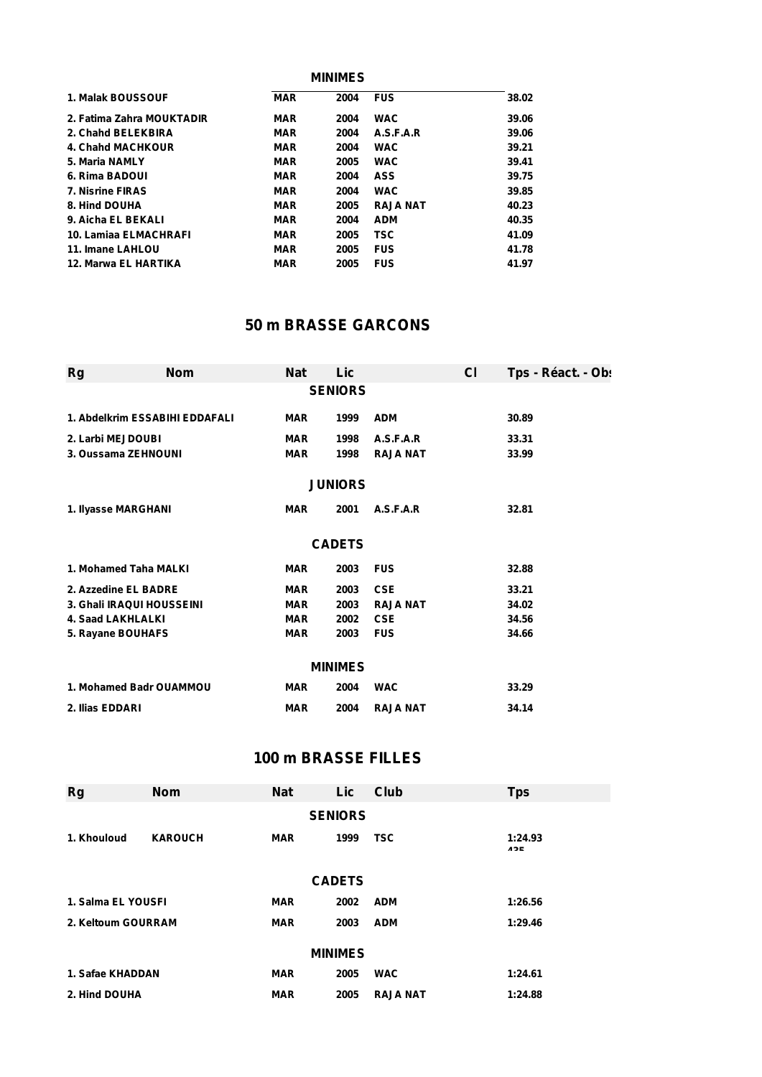|               |                           |            | <b>MINIMES</b> |                 |       |
|---------------|---------------------------|------------|----------------|-----------------|-------|
|               | 1. Malak BOUSSOUF         | <b>MAR</b> | 2004           | <b>FUS</b>      | 38.02 |
|               | 2. Fatima Zahra MOUKTADIR | <b>MAR</b> | 2004           | <b>WAC</b>      | 39.06 |
|               | 2. Chahd BELEKBIRA        | <b>MAR</b> | 2004           | A.S.F.A.R       | 39.06 |
|               | 4. Chahd MACHKOUR         | <b>MAR</b> | 2004           | <b>WAC</b>      | 39.21 |
|               | 5. Maria NAMLY            | <b>MAR</b> | 2005           | <b>WAC</b>      | 39.41 |
|               | 6. Rima BADOUI            | <b>MAR</b> | 2004           | <b>ASS</b>      | 39.75 |
|               | <b>7. Nisrine FIRAS</b>   | <b>MAR</b> | 2004           | <b>WAC</b>      | 39.85 |
| 8. Hind DOUHA |                           | <b>MAR</b> | 2005           | <b>RAJA NAT</b> | 40.23 |
|               | 9. Aicha EL BEKALI        | <b>MAR</b> | 2004           | <b>ADM</b>      | 40.35 |
|               | 10. Lamiaa ELMACHRAFI     | <b>MAR</b> | 2005           | <b>TSC</b>      | 41.09 |
|               | 11. Imane LAHLOU          | <b>MAR</b> | 2005           | <b>FUS</b>      | 41.78 |
|               | 12. Marwa EL HARTIKA      | <b>MAR</b> | 2005           | <b>FUS</b>      | 41.97 |

## **50 m BRASSE GARCONS**

| Rg                       | <b>Nom</b>                     | <b>Nat</b> | Lic            |                 | <b>CI</b> | Tps - Réact. - Ob: |
|--------------------------|--------------------------------|------------|----------------|-----------------|-----------|--------------------|
|                          |                                |            | <b>SENIORS</b> |                 |           |                    |
|                          | 1. Abdelkrim ESSABIHI EDDAFALI | <b>MAR</b> | 1999           | <b>ADM</b>      |           | 30.89              |
| 2. Larbi MEJDOUBI        |                                | <b>MAR</b> | 1998           | A.S.F.A.R       |           | 33.31              |
|                          | 3. Oussama ZEHNOUNI            | <b>MAR</b> | 1998           | <b>RAJA NAT</b> |           | 33.99              |
|                          |                                |            | <b>JUNIORS</b> |                 |           |                    |
| 1. Ilyasse MARGHANI      |                                | <b>MAR</b> | 2001           | A.S.F.A.R       |           | 32.81              |
|                          |                                |            | <b>CADETS</b>  |                 |           |                    |
|                          | 1. Mohamed Taha MALKI          | <b>MAR</b> | 2003           | <b>FUS</b>      |           | 32.88              |
|                          | 2. Azzedine EL BADRE           | <b>MAR</b> | 2003           | <b>CSE</b>      |           | 33.21              |
|                          | 3. Ghali IRAQUI HOUSSEINI      | <b>MAR</b> | 2003           | <b>RAJA NAT</b> |           | 34.02              |
| <b>4. Saad LAKHLALKI</b> |                                | <b>MAR</b> | 2002           | <b>CSE</b>      |           | 34.56              |
| 5. Rayane BOUHAFS        |                                | <b>MAR</b> | 2003           | <b>FUS</b>      |           | 34.66              |
|                          |                                |            | <b>MINIMES</b> |                 |           |                    |
|                          | 1. Mohamed Badr OUAMMOU        | <b>MAR</b> | 2004           | <b>WAC</b>      |           | 33.29              |
| 2. Ilias EDDARI          |                                | <b>MAR</b> | 2004           | <b>RAJA NAT</b> |           | 34.14              |

## **100 m BRASSE FILLES**

| Rg                 | <b>Nom</b>     | <b>Nat</b> | Lic            | Club            | <b>Tps</b>     |
|--------------------|----------------|------------|----------------|-----------------|----------------|
|                    |                |            | <b>SENIORS</b> |                 |                |
| 1. Khouloud        | <b>KAROUCH</b> | <b>MAR</b> | 1999           | <b>TSC</b>      | 1:24.93<br>12E |
|                    |                |            | <b>CADETS</b>  |                 |                |
| 1. Salma EL YOUSFI |                | <b>MAR</b> | 2002           | <b>ADM</b>      | 1:26.56        |
| 2. Keltoum GOURRAM |                | <b>MAR</b> | 2003           | <b>ADM</b>      | 1:29.46        |
|                    |                |            | <b>MINIMES</b> |                 |                |
| 1. Safae KHADDAN   |                | <b>MAR</b> | 2005           | <b>WAC</b>      | 1:24.61        |
| 2. Hind DOUHA      |                | <b>MAR</b> | 2005           | <b>RAJA NAT</b> | 1:24.88        |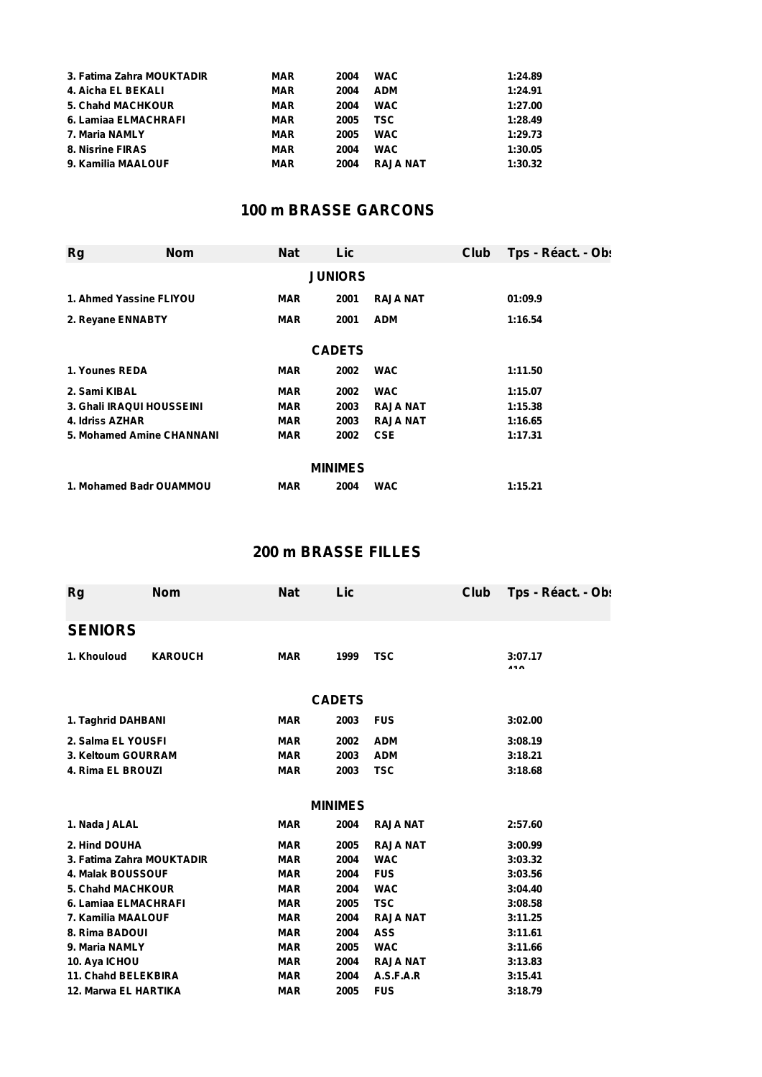| 3. Fatima Zahra MOUKTADIR | MAR        | 2004 | <b>WAC</b>      | 1:24.89 |
|---------------------------|------------|------|-----------------|---------|
| 4. Aicha EL BEKALI        | MAR        | 2004 | <b>ADM</b>      | 1:24.91 |
| <b>5. Chand MACHKOUR</b>  | MAR        | 2004 | <b>WAC</b>      | 1:27.00 |
| 6. Lamiaa ELMACHRAFI      | <b>MAR</b> | 2005 | <b>TSC</b>      | 1:28.49 |
| 7. Maria NAMLY            | <b>MAR</b> | 2005 | <b>WAC</b>      | 1:29.73 |
| 8. Nisrine FIRAS          | <b>MAR</b> | 2004 | <b>WAC</b>      | 1:30.05 |
| 9. Kamilia MAALOUF        | <b>MAR</b> | 2004 | <b>RAJA NAT</b> | 1:30.32 |

# **100 m BRASSE GARCONS**

| Rg                        | <b>Nom</b> | <b>Nat</b> | Lic            |                 | Club | Tps - Réact. - Ob: |
|---------------------------|------------|------------|----------------|-----------------|------|--------------------|
|                           |            |            | <b>JUNIORS</b> |                 |      |                    |
| 1. Ahmed Yassine FLIYOU   |            | <b>MAR</b> | 2001           | <b>RAJA NAT</b> |      | 01:09.9            |
| 2. Reyane ENNABTY         |            | <b>MAR</b> | 2001           | <b>ADM</b>      |      | 1:16.54            |
|                           |            |            | <b>CADETS</b>  |                 |      |                    |
| 1. Younes REDA            |            | <b>MAR</b> | 2002           | <b>WAC</b>      |      | 1:11.50            |
| 2. Sami KIBAL             |            | <b>MAR</b> | 2002           | <b>WAC</b>      |      | 1:15.07            |
| 3. Ghali IRAQUI HOUSSEINI |            | <b>MAR</b> | 2003           | <b>RAJA NAT</b> |      | 1:15.38            |
| 4. Idriss AZHAR           |            | <b>MAR</b> | 2003           | <b>RAJA NAT</b> |      | 1:16.65            |
| 5. Mohamed Amine CHANNANI |            | <b>MAR</b> | 2002           | <b>CSE</b>      |      | 1:17.31            |
|                           |            |            | <b>MINIMES</b> |                 |      |                    |
| 1. Mohamed Badr OUAMMOU   |            | <b>MAR</b> | 2004           | <b>WAC</b>      |      | 1:15.21            |

# **200 m BRASSE FILLES**

| <b>KAROUCH</b><br><b>MAR</b><br><b>TSC</b><br>3:07.17<br>1999<br><br><b>CADETS</b><br>1. Taghrid DAHBANI<br><b>FUS</b><br><b>MAR</b><br>2003<br>3:02.00<br>2. Salma EL YOUSFI<br><b>MAR</b><br>2002<br><b>ADM</b><br>3:08.19<br>3. Keltoum GOURRAM<br><b>MAR</b><br>2003<br><b>ADM</b><br>3:18.21<br>4. Rima EL BROUZI<br><b>TSC</b><br><b>MAR</b><br>2003<br>3:18.68<br><b>MINIMES</b><br><b>MAR</b><br>2004<br><b>RAJA NAT</b><br>2:57.60<br><b>RAJA NAT</b><br><b>MAR</b><br>2005<br>3:00.99<br>3. Fatima Zahra MOUKTADIR<br><b>MAR</b><br>2004<br><b>WAC</b><br>3:03.32<br><b>4. Malak BOUSSOUF</b><br><b>FUS</b><br><b>MAR</b><br>2004<br>3:03.56<br><b>5. Chahd MACHKOUR</b><br><b>MAR</b><br>2004<br><b>WAC</b><br>3:04.40<br>6. Lamiaa ELMACHRAFI<br><b>MAR</b><br><b>TSC</b><br>2005<br>3:08.58<br><b>RAJA NAT</b><br>7. Kamilia MAALOUF<br><b>MAR</b><br>2004<br>3:11.25<br><b>ASS</b><br>3:11.61<br><b>MAR</b><br>2004<br><b>MAR</b><br>2005<br><b>WAC</b><br>3:11.66<br><b>MAR</b><br>2004<br><b>RAJA NAT</b><br>3:13.83<br>11. Chahd BELEKBIRA<br><b>A.S.F.A.R</b><br><b>MAR</b><br>2004<br>3:15.41<br><b>12. Marwa EL HARTIKA</b><br><b>FUS</b><br><b>MAR</b><br>2005 | <b>Rg</b>      | <b>Nom</b> | <b>Nat</b> | Lic | Club | Tps - Réact. - Ob: |
|-------------------------------------------------------------------------------------------------------------------------------------------------------------------------------------------------------------------------------------------------------------------------------------------------------------------------------------------------------------------------------------------------------------------------------------------------------------------------------------------------------------------------------------------------------------------------------------------------------------------------------------------------------------------------------------------------------------------------------------------------------------------------------------------------------------------------------------------------------------------------------------------------------------------------------------------------------------------------------------------------------------------------------------------------------------------------------------------------------------------------------------------------------------------------------------|----------------|------------|------------|-----|------|--------------------|
|                                                                                                                                                                                                                                                                                                                                                                                                                                                                                                                                                                                                                                                                                                                                                                                                                                                                                                                                                                                                                                                                                                                                                                                     | <b>SENIORS</b> |            |            |     |      |                    |
|                                                                                                                                                                                                                                                                                                                                                                                                                                                                                                                                                                                                                                                                                                                                                                                                                                                                                                                                                                                                                                                                                                                                                                                     | 1. Khouloud    |            |            |     |      |                    |
|                                                                                                                                                                                                                                                                                                                                                                                                                                                                                                                                                                                                                                                                                                                                                                                                                                                                                                                                                                                                                                                                                                                                                                                     |                |            |            |     |      |                    |
|                                                                                                                                                                                                                                                                                                                                                                                                                                                                                                                                                                                                                                                                                                                                                                                                                                                                                                                                                                                                                                                                                                                                                                                     |                |            |            |     |      |                    |
|                                                                                                                                                                                                                                                                                                                                                                                                                                                                                                                                                                                                                                                                                                                                                                                                                                                                                                                                                                                                                                                                                                                                                                                     |                |            |            |     |      |                    |
|                                                                                                                                                                                                                                                                                                                                                                                                                                                                                                                                                                                                                                                                                                                                                                                                                                                                                                                                                                                                                                                                                                                                                                                     |                |            |            |     |      |                    |
|                                                                                                                                                                                                                                                                                                                                                                                                                                                                                                                                                                                                                                                                                                                                                                                                                                                                                                                                                                                                                                                                                                                                                                                     |                |            |            |     |      |                    |
|                                                                                                                                                                                                                                                                                                                                                                                                                                                                                                                                                                                                                                                                                                                                                                                                                                                                                                                                                                                                                                                                                                                                                                                     |                |            |            |     |      |                    |
|                                                                                                                                                                                                                                                                                                                                                                                                                                                                                                                                                                                                                                                                                                                                                                                                                                                                                                                                                                                                                                                                                                                                                                                     | 1. Nada JALAL  |            |            |     |      |                    |
|                                                                                                                                                                                                                                                                                                                                                                                                                                                                                                                                                                                                                                                                                                                                                                                                                                                                                                                                                                                                                                                                                                                                                                                     | 2. Hind DOUHA  |            |            |     |      |                    |
|                                                                                                                                                                                                                                                                                                                                                                                                                                                                                                                                                                                                                                                                                                                                                                                                                                                                                                                                                                                                                                                                                                                                                                                     |                |            |            |     |      |                    |
|                                                                                                                                                                                                                                                                                                                                                                                                                                                                                                                                                                                                                                                                                                                                                                                                                                                                                                                                                                                                                                                                                                                                                                                     |                |            |            |     |      |                    |
|                                                                                                                                                                                                                                                                                                                                                                                                                                                                                                                                                                                                                                                                                                                                                                                                                                                                                                                                                                                                                                                                                                                                                                                     |                |            |            |     |      |                    |
|                                                                                                                                                                                                                                                                                                                                                                                                                                                                                                                                                                                                                                                                                                                                                                                                                                                                                                                                                                                                                                                                                                                                                                                     |                |            |            |     |      |                    |
|                                                                                                                                                                                                                                                                                                                                                                                                                                                                                                                                                                                                                                                                                                                                                                                                                                                                                                                                                                                                                                                                                                                                                                                     |                |            |            |     |      |                    |
|                                                                                                                                                                                                                                                                                                                                                                                                                                                                                                                                                                                                                                                                                                                                                                                                                                                                                                                                                                                                                                                                                                                                                                                     | 8. Rima BADOUI |            |            |     |      |                    |
|                                                                                                                                                                                                                                                                                                                                                                                                                                                                                                                                                                                                                                                                                                                                                                                                                                                                                                                                                                                                                                                                                                                                                                                     | 9. Maria NAMLY |            |            |     |      |                    |
|                                                                                                                                                                                                                                                                                                                                                                                                                                                                                                                                                                                                                                                                                                                                                                                                                                                                                                                                                                                                                                                                                                                                                                                     | 10. Aya ICHOU  |            |            |     |      |                    |
|                                                                                                                                                                                                                                                                                                                                                                                                                                                                                                                                                                                                                                                                                                                                                                                                                                                                                                                                                                                                                                                                                                                                                                                     |                |            |            |     |      |                    |
|                                                                                                                                                                                                                                                                                                                                                                                                                                                                                                                                                                                                                                                                                                                                                                                                                                                                                                                                                                                                                                                                                                                                                                                     |                |            |            |     |      | 3:18.79            |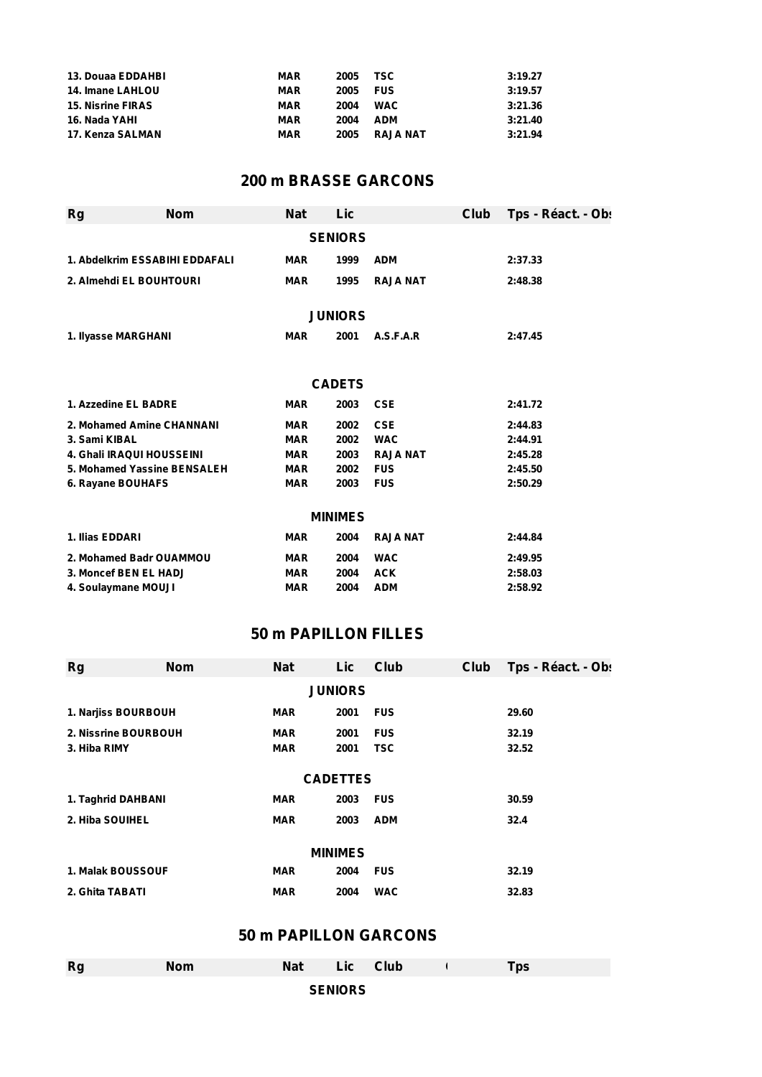| 13. Douaa EDDAHBI        | MAR | 2005 | TSC             | 3:19.27 |
|--------------------------|-----|------|-----------------|---------|
| <b>14. Imane LAHLOU</b>  | MAR | 2005 | <b>FUS</b>      | 3:19.57 |
| <b>15. Nisrine FIRAS</b> | MAR | 2004 | <b>WAC</b>      | 3:21.36 |
| 16. Nada YAHI            | MAR | 2004 | <b>ADM</b>      | 3:21.40 |
| 17. Kenza SALMAN         | MAR | 2005 | <b>RAJA NAT</b> | 3:21.94 |

# **200 m BRASSE GARCONS**

| <b>Rg</b>                        | <b>Nom</b>                     | <b>Nat</b> | Lic            |                 | Club | Tps - Réact. - Ob: |  |  |  |
|----------------------------------|--------------------------------|------------|----------------|-----------------|------|--------------------|--|--|--|
| <b>SENIORS</b>                   |                                |            |                |                 |      |                    |  |  |  |
|                                  | 1. Abdelkrim ESSABIHI EDDAFALI | <b>MAR</b> | 1999           | <b>ADM</b>      |      | 2:37.33            |  |  |  |
| 2. Almehdi EL BOUHTOURI          |                                | <b>MAR</b> | 1995           | <b>RAJA NAT</b> |      | 2:48.38            |  |  |  |
|                                  |                                |            |                |                 |      |                    |  |  |  |
|                                  |                                |            | <b>JUNIORS</b> |                 |      |                    |  |  |  |
| 1. Ilyasse MARGHANI              |                                | <b>MAR</b> | 2001           | A.S.F.A.R       |      | 2:47.45            |  |  |  |
|                                  |                                |            |                |                 |      |                    |  |  |  |
|                                  |                                |            | <b>CADETS</b>  |                 |      |                    |  |  |  |
| 1. Azzedine EL BADRE             |                                | <b>MAR</b> | 2003           | <b>CSE</b>      |      | 2:41.72            |  |  |  |
|                                  | 2. Mohamed Amine CHANNANI      | <b>MAR</b> | 2002           | <b>CSE</b>      |      | 2:44.83            |  |  |  |
| 3. Sami KIBAL                    |                                | <b>MAR</b> | 2002           | <b>WAC</b>      |      | 2:44.91            |  |  |  |
| <b>4. Ghali IRAQUI HOUSSEINI</b> |                                | <b>MAR</b> | 2003           | <b>RAJA NAT</b> |      | 2:45.28            |  |  |  |
|                                  | 5. Mohamed Yassine BENSALEH    | <b>MAR</b> | 2002           | <b>FUS</b>      |      | 2:45.50            |  |  |  |
| 6. Rayane BOUHAFS                |                                | <b>MAR</b> | 2003           | <b>FUS</b>      |      | 2:50.29            |  |  |  |
|                                  |                                |            | <b>MINIMES</b> |                 |      |                    |  |  |  |
| 1. Ilias EDDARI                  |                                | <b>MAR</b> | 2004           | <b>RAJA NAT</b> |      | 2:44.84            |  |  |  |
| 2. Mohamed Badr OUAMMOU          |                                | <b>MAR</b> | 2004           | <b>WAC</b>      |      | 2:49.95            |  |  |  |
| 3. Moncef BEN EL HADJ            |                                | <b>MAR</b> | 2004           | <b>ACK</b>      |      | 2:58.03            |  |  |  |
| 4. Soulaymane MOUJI              |                                | <b>MAR</b> | 2004           | <b>ADM</b>      |      | 2:58.92            |  |  |  |

## **50 m PAPILLON FILLES**

| Rg                   | <b>Nom</b> | <b>Nat</b> | Lic  | Club       | Club | Tps - Réact. - Obs |  |  |  |
|----------------------|------------|------------|------|------------|------|--------------------|--|--|--|
| <b>JUNIORS</b>       |            |            |      |            |      |                    |  |  |  |
| 1. Narjiss BOURBOUH  |            | <b>MAR</b> | 2001 | <b>FUS</b> |      | 29.60              |  |  |  |
| 2. Nissrine BOURBOUH |            | <b>MAR</b> | 2001 | <b>FUS</b> |      | 32.19              |  |  |  |
| 3. Hiba RIMY         |            | <b>MAR</b> | 2001 | <b>TSC</b> |      | 32.52              |  |  |  |
| <b>CADETTES</b>      |            |            |      |            |      |                    |  |  |  |
| 1. Taghrid DAHBANI   |            | <b>MAR</b> | 2003 | <b>FUS</b> |      | 30.59              |  |  |  |
| 2. Hiba SOUIHEL      |            | <b>MAR</b> | 2003 | <b>ADM</b> |      | 32.4               |  |  |  |
|                      |            |            |      |            |      |                    |  |  |  |
| <b>MINIMES</b>       |            |            |      |            |      |                    |  |  |  |
| 1. Malak BOUSSOUF    |            | <b>MAR</b> | 2004 | <b>FUS</b> |      | 32.19              |  |  |  |
| 2. Ghita TABATI      |            | <b>MAR</b> | 2004 | <b>WAC</b> |      | 32.83              |  |  |  |

# **50 m PAPILLON GARCONS**

| Rg | <b>Nom</b> | <b>Nat</b> | Lic Club       |  | Tps |
|----|------------|------------|----------------|--|-----|
|    |            |            | <b>SENIORS</b> |  |     |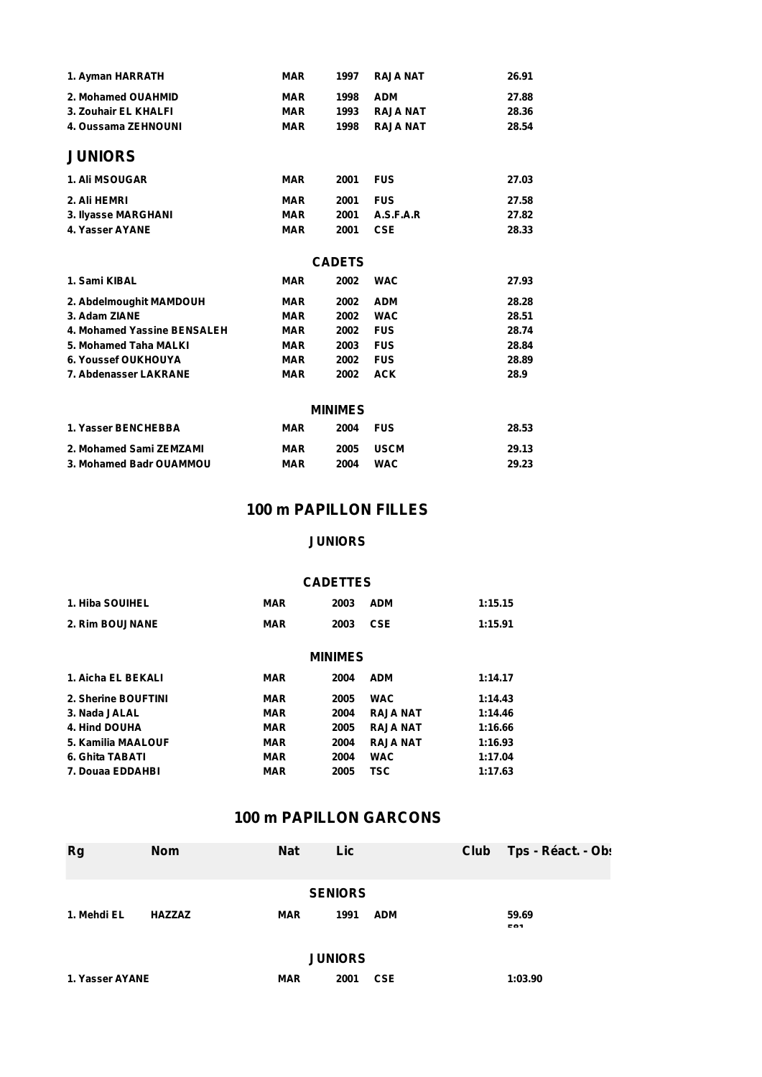| 1. Ayman HARRATH            | <b>MAR</b> | 1997           | <b>RAJA NAT</b> | 26.91 |
|-----------------------------|------------|----------------|-----------------|-------|
| 2. Mohamed OUAHMID          | <b>MAR</b> | 1998           | <b>ADM</b>      | 27.88 |
| 3. Zouhair EL KHALFI        | <b>MAR</b> | 1993           | <b>RAJA NAT</b> | 28.36 |
| 4. Oussama ZEHNOUNI         | <b>MAR</b> | 1998           | <b>RAJA NAT</b> | 28.54 |
| <b>JUNIORS</b>              |            |                |                 |       |
| <b>1. Ali MSOUGAR</b>       | <b>MAR</b> | 2001           | <b>FUS</b>      | 27.03 |
| 2. Ali HEMRI                | <b>MAR</b> | 2001           | <b>FUS</b>      | 27.58 |
| 3. Ilyasse MARGHANI         | <b>MAR</b> | 2001           | A.S.F.A.R       | 27.82 |
| 4. Yasser AYANE             | <b>MAR</b> | 2001           | <b>CSE</b>      | 28.33 |
|                             |            | <b>CADETS</b>  |                 |       |
| 1. Sami KIBAL               | <b>MAR</b> | 2002           | <b>WAC</b>      | 27.93 |
| 2. Abdelmoughit MAMDOUH     | <b>MAR</b> | 2002           | <b>ADM</b>      | 28.28 |
| 3. Adam ZIANE               | <b>MAR</b> | 2002           | <b>WAC</b>      | 28.51 |
| 4. Mohamed Yassine BENSALEH | <b>MAR</b> | 2002           | <b>FUS</b>      | 28.74 |
| 5. Mohamed Taha MALKI       | <b>MAR</b> | 2003           | <b>FUS</b>      | 28.84 |
| 6. Youssef OUKHOUYA         | <b>MAR</b> | 2002           | <b>FUS</b>      | 28.89 |
| 7. Abdenasser LAKRANE       | <b>MAR</b> | 2002           | <b>ACK</b>      | 28.9  |
|                             |            | <b>MINIMES</b> |                 |       |
| 1. Yasser BENCHEBBA         | <b>MAR</b> | 2004           | <b>FUS</b>      | 28.53 |
| 2. Mohamed Sami ZEMZAMI     | <b>MAR</b> | 2005           | <b>USCM</b>     | 29.13 |
| 3. Mohamed Badr OUAMMOU     | <b>MAR</b> | 2004           | <b>WAC</b>      | 29.23 |

### **100 m PAPILLON FILLES**

#### **JUNIORS**

#### **CADETTES**

| 1. Hiba SOUIHEL | <b>MAR</b> | 2003 | <b>ADM</b> | 1:15.15 |
|-----------------|------------|------|------------|---------|
| 2. Rim BOUJNANE | <b>MAR</b> | 2003 | CSE        | 1:15.91 |

| <b>MINIMES</b> |
|----------------|
|----------------|

| 1. Aicha EL BEKALI  | <b>MAR</b> | 2004 | <b>ADM</b>      | 1:14.17 |
|---------------------|------------|------|-----------------|---------|
| 2. Sherine BOUFTINI | MAR        | 2005 | <b>WAC</b>      | 1:14.43 |
| 3. Nada JALAL       | <b>MAR</b> | 2004 | <b>RAJA NAT</b> | 1:14.46 |
| 4. Hind DOUHA       | <b>MAR</b> | 2005 | <b>RAJA NAT</b> | 1:16.66 |
| 5. Kamilia MAALOUF  | <b>MAR</b> | 2004 | <b>RAJA NAT</b> | 1:16.93 |
| 6. Ghita TABATI     | <b>MAR</b> | 2004 | <b>WAC</b>      | 1:17.04 |
| 7. Douaa EDDAHBI    | <b>MAR</b> | 2005 | TSC             | 1:17.63 |

#### **100 m PAPILLON GARCONS**

| <b>Rg</b>       | <b>Nom</b>    | <b>Nat</b> | Lic            |            | Club | Tps - Réact. - Ob: |
|-----------------|---------------|------------|----------------|------------|------|--------------------|
|                 |               |            | <b>SENIORS</b> |            |      |                    |
| 1. Mehdi EL     | <b>HAZZAZ</b> | <b>MAR</b> | 1991           | <b>ADM</b> |      | 59.69<br>EO4       |
|                 |               |            | <b>JUNIORS</b> |            |      |                    |
| 1. Yasser AYANE |               | <b>MAR</b> | 2001           | <b>CSE</b> |      | 1:03.90            |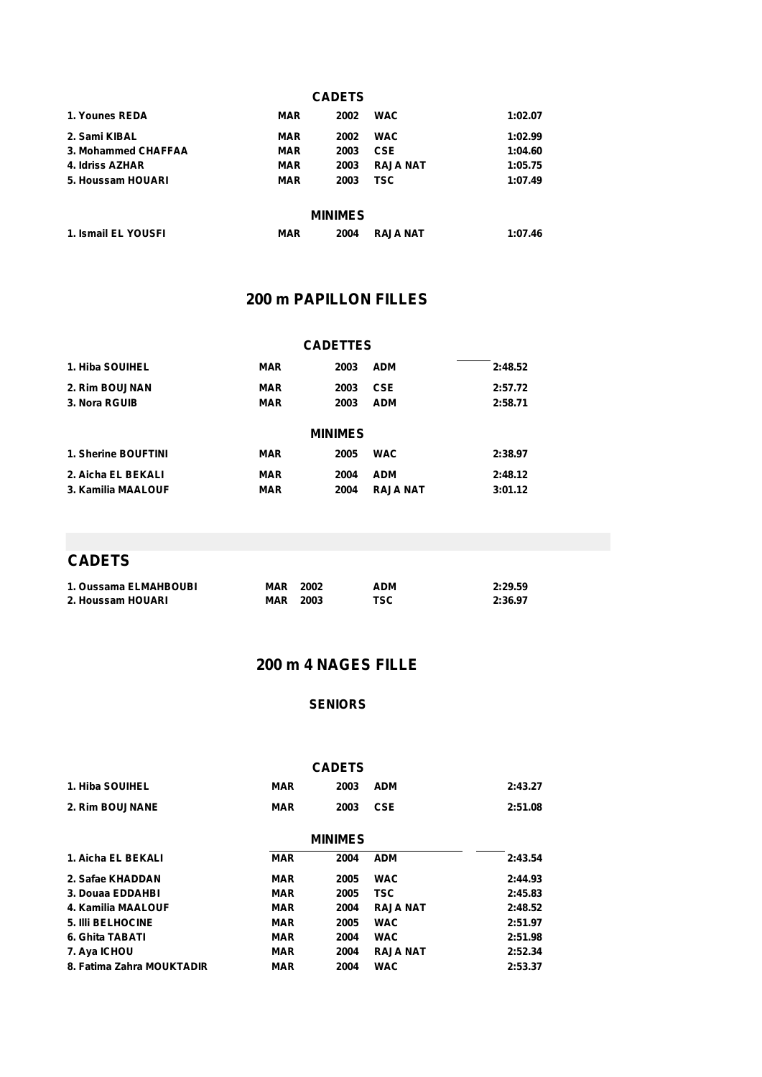| <b>CADETS</b>       |            |      |                 |         |  |  |  |
|---------------------|------------|------|-----------------|---------|--|--|--|
| 1. Younes REDA      | <b>MAR</b> | 2002 | <b>WAC</b>      | 1:02.07 |  |  |  |
| 2. Sami KIBAL       | <b>MAR</b> | 2002 | <b>WAC</b>      | 1:02.99 |  |  |  |
| 3. Mohammed CHAFFAA | <b>MAR</b> | 2003 | <b>CSE</b>      | 1:04.60 |  |  |  |
| 4. Idriss AZHAR     | <b>MAR</b> | 2003 | <b>RAJA NAT</b> | 1:05.75 |  |  |  |
| 5. Houssam HOUARI   | <b>MAR</b> | 2003 | <b>TSC</b>      | 1:07.49 |  |  |  |
| <b>MINIMES</b>      |            |      |                 |         |  |  |  |
| 1. Ismail EL YOUSFI | <b>MAR</b> | 2004 | <b>RAJA NAT</b> | 1:07.46 |  |  |  |

### **200 m PAPILLON FILLES**

| <b>CADETTES</b>     |            |      |            |         |  |  |  |
|---------------------|------------|------|------------|---------|--|--|--|
| 1. Hiba SOUIHEL     | <b>MAR</b> | 2003 | <b>ADM</b> | 2:48.52 |  |  |  |
| 2. Rim BOUJNAN      | <b>MAR</b> | 2003 | <b>CSE</b> | 2:57.72 |  |  |  |
| 3. Nora RGUIB       | <b>MAR</b> | 2003 | <b>ADM</b> | 2:58.71 |  |  |  |
| <b>MINIMES</b>      |            |      |            |         |  |  |  |
| 1. Sherine BOUFTINI | <b>MAR</b> | 2005 | <b>WAC</b> | 2:38.97 |  |  |  |
| 2. Aicha EL BEKALI  |            |      |            |         |  |  |  |
|                     | <b>MAR</b> | 2004 | <b>ADM</b> | 2:48.12 |  |  |  |

## **CADETS**

| 1. Oussama ELMAHBOUBI | MAR | 2002 | ADM | 2:29.59 |
|-----------------------|-----|------|-----|---------|
| 2. Houssam HOUARI     | MAR | 2003 | TSC | 2:36.97 |

# **200 m 4 NAGES FILLE**

#### **SENIORS**

|                           |            | <b>CADETS</b> |                 |         |  |  |  |  |
|---------------------------|------------|---------------|-----------------|---------|--|--|--|--|
| 1. Hiba SOUIHEL           | <b>MAR</b> | 2003          | <b>ADM</b>      | 2:43.27 |  |  |  |  |
| 2. Rim BOUJNANE           | <b>MAR</b> | 2003          | <b>CSE</b>      | 2:51.08 |  |  |  |  |
| <b>MINIMES</b>            |            |               |                 |         |  |  |  |  |
| 1. Aicha EL BEKALI        | <b>MAR</b> | 2004          | <b>ADM</b>      | 2:43.54 |  |  |  |  |
| 2. Safae KHADDAN          | <b>MAR</b> | 2005          | <b>WAC</b>      | 2:44.93 |  |  |  |  |
| 3. Douaa EDDAHBI          | <b>MAR</b> | 2005          | <b>TSC</b>      | 2:45.83 |  |  |  |  |
| 4. Kamilia MAALOUF        | <b>MAR</b> | 2004          | <b>RAJA NAT</b> | 2:48.52 |  |  |  |  |
| <b>5. IIII BELHOCINE</b>  | <b>MAR</b> | 2005          | <b>WAC</b>      | 2:51.97 |  |  |  |  |
| 6. Ghita TABATI           | <b>MAR</b> | 2004          | <b>WAC</b>      | 2:51.98 |  |  |  |  |
| 7. Aya ICHOU              | <b>MAR</b> | 2004          | <b>RAJA NAT</b> | 2:52.34 |  |  |  |  |
| 8. Fatima Zahra MOUKTADIR | <b>MAR</b> | 2004          | <b>WAC</b>      | 2:53.37 |  |  |  |  |